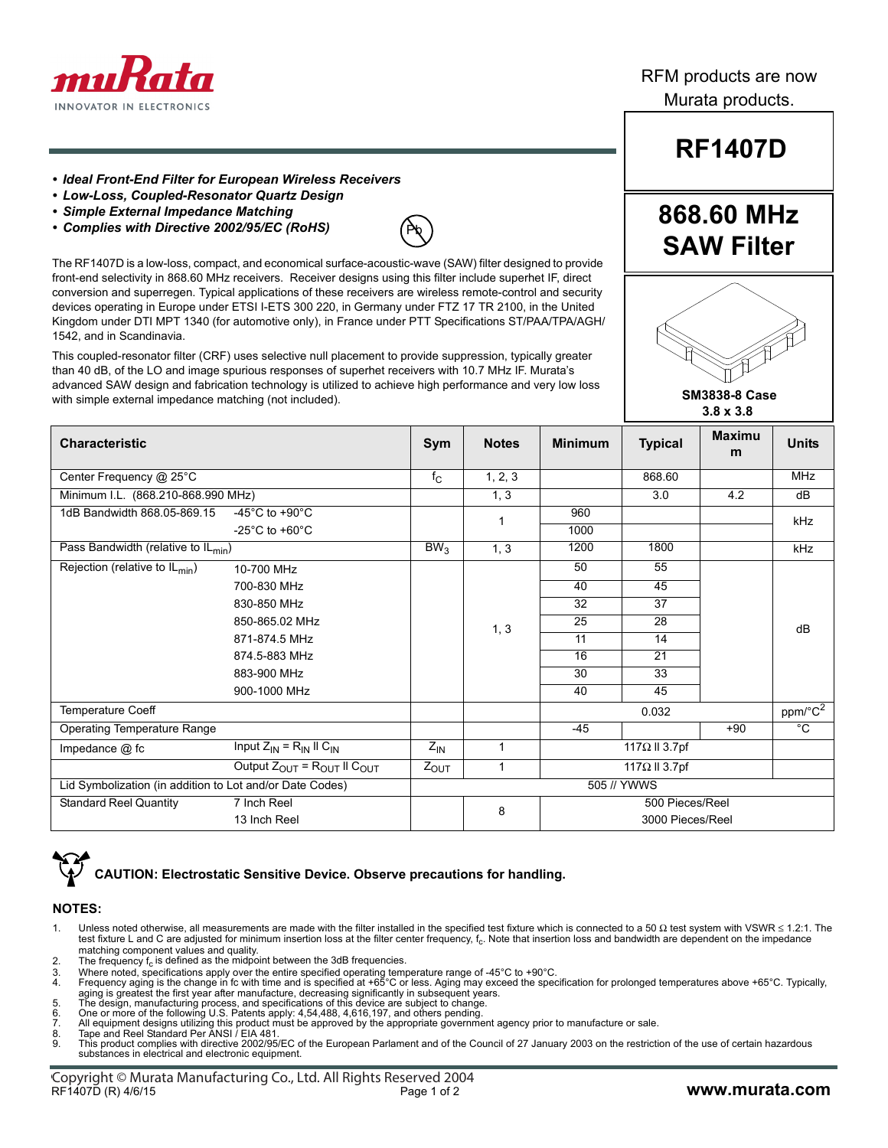

RFM products are now Murata products.

#### *• Ideal Front-End Filter for European Wireless Receivers*

- *Low-Loss, Coupled-Resonator Quartz Design*
- *Simple External Impedance Matching*
- *Complies with Directive 2002/95/EC (RoHS)*



The RF1407D is a low-loss, compact, and economical surface-acoustic-wave (SAW) filter designed to provide front-end selectivity in 868.60 MHz receivers. Receiver designs using this filter include superhet IF, direct conversion and superregen. Typical applications of these receivers are wireless remote-control and security devices operating in Europe under ETSI I-ETS 300 220, in Germany under FTZ 17 TR 2100, in the United Kingdom under DTI MPT 1340 (for automotive only), in France under PTT Specifications ST/PAA/TPA/AGH/ 1542, and in Scandinavia.

This coupled-resonator filter (CRF) uses selective null placement to provide suppression, typically greater than 40 dB, of the LO and image spurious responses of superhet receivers with 10.7 MHz IF. Murata's advanced SAW design and fabrication technology is utilized to achieve high performance and very low loss with simple external impedance matching (not included).

| <b>Characteristic</b>                                    |                                         | Sym             | <b>Notes</b> | <b>Minimum</b>                      | <b>Typical</b>        | <b>Maximu</b><br>m | <b>Units</b>        |
|----------------------------------------------------------|-----------------------------------------|-----------------|--------------|-------------------------------------|-----------------------|--------------------|---------------------|
| Center Frequency @ 25°C                                  |                                         | $f_{\rm C}$     | 1, 2, 3      |                                     | 868.60                |                    | <b>MHz</b>          |
| Minimum I.L. (868.210-868.990 MHz)                       |                                         |                 | 1, 3         |                                     | 3.0                   | 4.2                | $\overline{dB}$     |
| 1dB Bandwidth 868.05-869.15                              | -45 $^{\circ}$ C to +90 $^{\circ}$ C    |                 |              | 960                                 |                       |                    | kHz                 |
|                                                          | -25 $^{\circ}$ C to +60 $^{\circ}$ C    |                 |              | 1000                                |                       |                    |                     |
| Pass Bandwidth (relative to IL <sub>min</sub> )          |                                         | BW <sub>3</sub> | 1, 3         | 1200                                | 1800                  |                    | kHz                 |
| Rejection (relative to $IL_{min}$ )                      | 10-700 MHz                              |                 |              | 50                                  | 55                    |                    |                     |
|                                                          | 700-830 MHz                             |                 |              | 40                                  | 45                    |                    |                     |
|                                                          | 830-850 MHz                             |                 |              | 32                                  | 37                    |                    |                     |
|                                                          | 850-865.02 MHz                          |                 | 1, 3         | 25                                  | 28                    |                    | dB                  |
|                                                          | 871-874.5 MHz                           |                 |              | 11                                  | 14                    |                    |                     |
|                                                          | 874.5-883 MHz                           |                 |              | 16                                  | 21                    |                    |                     |
|                                                          | 883-900 MHz                             |                 |              | 30                                  | 33                    |                    |                     |
|                                                          | 900-1000 MHz                            |                 |              | 40                                  | 45                    |                    |                     |
| <b>Temperature Coeff</b>                                 |                                         |                 |              |                                     | 0.032                 |                    | ppm/°C <sup>2</sup> |
| <b>Operating Temperature Range</b>                       |                                         |                 |              | $-45$                               |                       | $+90$              | $\overline{C}$      |
| Impedance @ fc                                           | Input $Z_{IN} = R_{IN}$ II $C_{IN}$     | $Z_{\text{IN}}$ | 1            |                                     | 117 $\Omega$ II 3.7pf |                    |                     |
|                                                          | Output $Z_{OUT} = R_{OUT}$ II $C_{OUT}$ |                 | 1            |                                     | 117 $\Omega$ II 3.7pf |                    |                     |
| Lid Symbolization (in addition to Lot and/or Date Codes) |                                         | 505 // YWWS     |              |                                     |                       |                    |                     |
| <b>Standard Reel Quantity</b>                            | 7 Inch Reel                             |                 | 8            | 500 Pieces/Reel<br>3000 Pieces/Reel |                       |                    |                     |
|                                                          | 13 Inch Reel                            |                 |              |                                     |                       |                    |                     |

## **CAUTION: Electrostatic Sensitive Device. Observe precautions for handling.**

#### **NOTES:**

- 1. Unless noted otherwise, all measurements are made with the filter installed in the specified test fixture which is connected to a 50 Ω test system with VSWR  $\leq$  1.2:1. The test fixture L and C are adjusted for minimum insertion loss at the filter center frequency,  $f_c$ . Note that insertion loss and bandwidth are dependent on the impedance
- matching component values and quality.<br>2. The frequency  $\mathsf{f}_\mathrm{c}$  is defined as the midpoint between the 3dB frequencies.
- 
- 3. Where noted, specifications apply over the entire specified operating temperature range of -45°C to +90°C.<br>4. Frequency aging is the change in fc with time and is specified at +65°C or less. Aging may exceed the specifi
- aging is greatest the first year after manufacture, decreasing significantly in subsequent years.<br>5. The design, manufacturing process, and specifications of this device are subject to change.<br>6. One or more of the
- 7. All equipment designs utilizing this product must be approved by the appropriate government agency prior to manufacture or sale. 8. Tape and Reel Standard Per ANSI / EIA 481.
- 
- 8. Tape and Reel Standard Per ANSI / EIA 481.<br>9. This product complies with directive 2002/95/EC of the European Parlament and of the Council of 27 January 2003 on the restriction of the use of certain hazardous substances in electrical and electronic equipment.

# **RF1407D**

## **868.60 MHz SAW Filter**



 **SM3838-8 Case 3.8 x 3.8**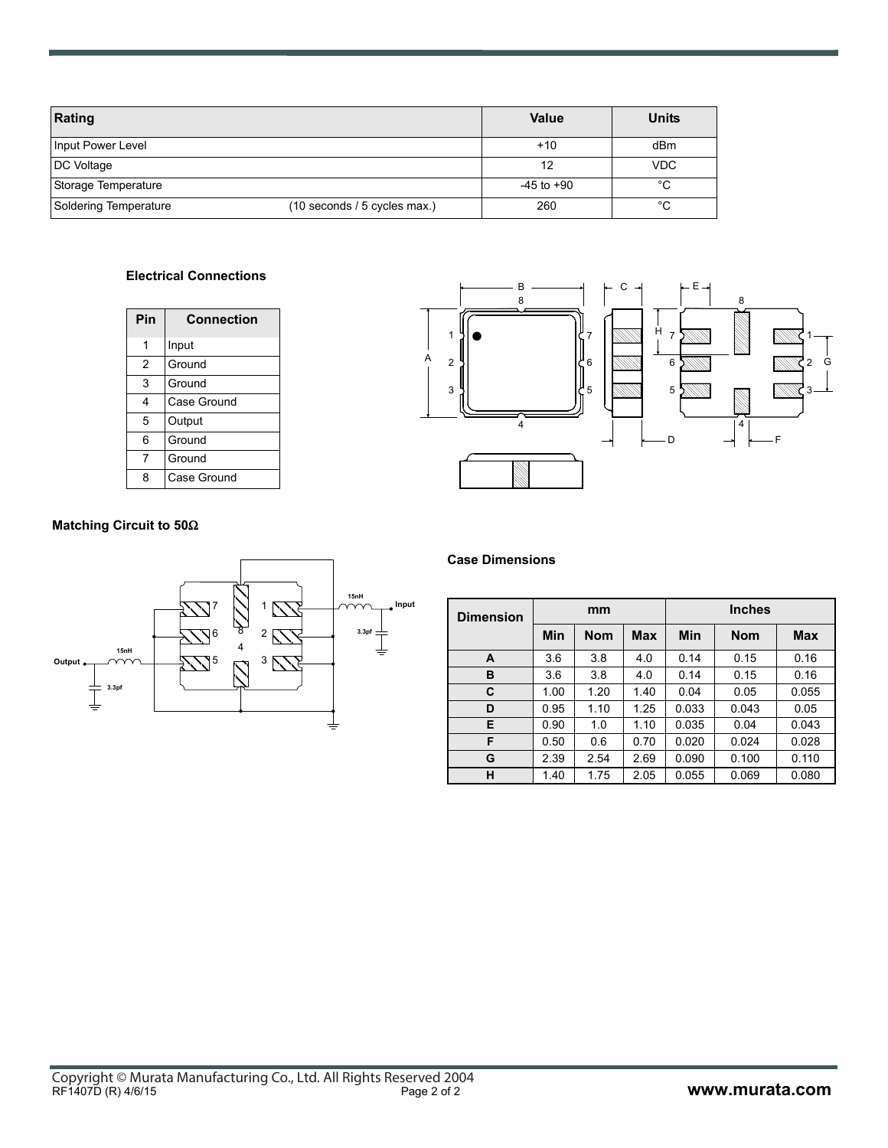| Rating                |                              | <b>Value</b>   | <b>Units</b> |
|-----------------------|------------------------------|----------------|--------------|
| Input Power Level     |                              | $+10$          | dBm          |
| DC Voltage            |                              | 12             | <b>VDC</b>   |
| Storage Temperature   |                              | $-45$ to $+90$ | °C           |
| Soldering Temperature | (10 seconds / 5 cycles max.) | 260            | °C           |

### **Electrical Connections**

| Pin | Connection  |  |  |  |
|-----|-------------|--|--|--|
| 1   | Input       |  |  |  |
| 2   | Ground      |  |  |  |
| 3   | Ground      |  |  |  |
| 4   | Case Ground |  |  |  |
| 5   | Output      |  |  |  |
| 6   | Ground      |  |  |  |
| 7   | Ground      |  |  |  |
| Զ   | Case Ground |  |  |  |



### **Matching Circuit to 50**Ω



**Case Dimensions**

| <b>Dimension</b> | mm   |            |      | <b>Inches</b> |            |            |  |
|------------------|------|------------|------|---------------|------------|------------|--|
|                  | Min  | <b>Nom</b> | Max  | Min           | <b>Nom</b> | <b>Max</b> |  |
| A                | 3.6  | 3.8        | 4.0  | 0.14          | 0.15       | 0.16       |  |
| в                | 3.6  | 3.8        | 4.0  | 0.14          | 0.15       | 0.16       |  |
| C                | 1.00 | 1.20       | 1.40 | 0.04          | 0.05       | 0.055      |  |
| D                | 0.95 | 1.10       | 1.25 | 0.033         | 0.043      | 0.05       |  |
| Е                | 0.90 | 1.0        | 1.10 | 0.035         | 0.04       | 0.043      |  |
| F                | 0.50 | 0.6        | 0.70 | 0.020         | 0.024      | 0.028      |  |
| G                | 2.39 | 2.54       | 2.69 | 0.090         | 0.100      | 0.110      |  |
| н                | 1.40 | 1.75       | 2.05 | 0.055         | 0.069      | 0.080      |  |